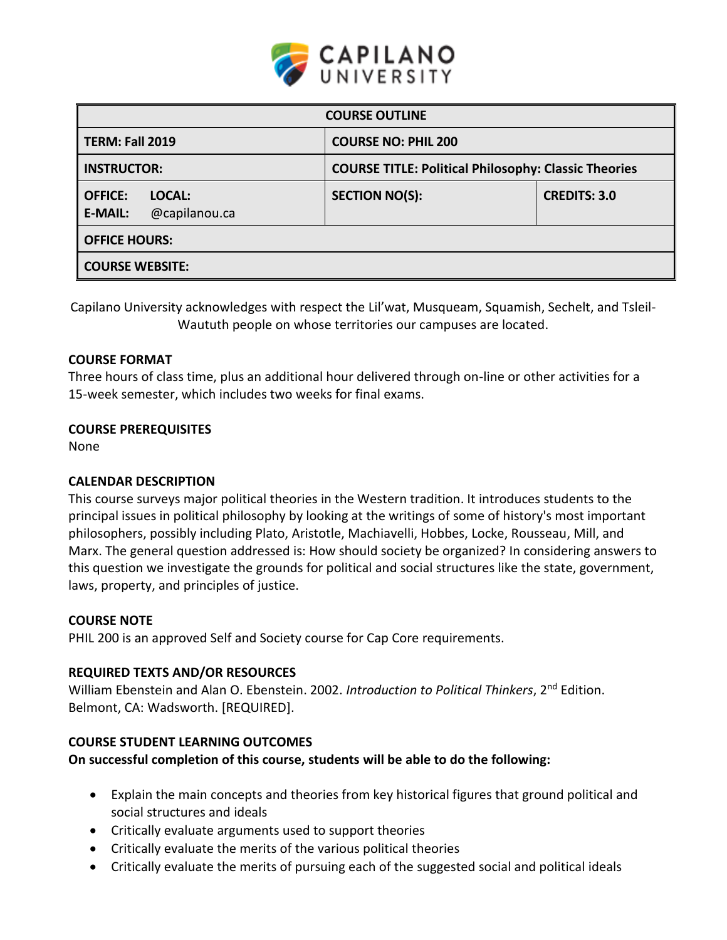

| <b>COURSE OUTLINE</b>                                       |                                                             |                     |  |  |  |
|-------------------------------------------------------------|-------------------------------------------------------------|---------------------|--|--|--|
| <b>TERM: Fall 2019</b>                                      | <b>COURSE NO: PHIL 200</b>                                  |                     |  |  |  |
| <b>INSTRUCTOR:</b>                                          | <b>COURSE TITLE: Political Philosophy: Classic Theories</b> |                     |  |  |  |
| <b>OFFICE:</b><br>LOCAL:<br>@capilanou.ca<br><b>E-MAIL:</b> | <b>SECTION NO(S):</b>                                       | <b>CREDITS: 3.0</b> |  |  |  |
| <b>OFFICE HOURS:</b>                                        |                                                             |                     |  |  |  |
| <b>COURSE WEBSITE:</b>                                      |                                                             |                     |  |  |  |

Capilano University acknowledges with respect the Lil'wat, Musqueam, Squamish, Sechelt, and Tsleil-Waututh people on whose territories our campuses are located.

### **COURSE FORMAT**

Three hours of class time, plus an additional hour delivered through on-line or other activities for a 15-week semester, which includes two weeks for final exams.

#### **COURSE PREREQUISITES**

None

#### **CALENDAR DESCRIPTION**

This course surveys major political theories in the Western tradition. It introduces students to the principal issues in political philosophy by looking at the writings of some of history's most important philosophers, possibly including Plato, Aristotle, Machiavelli, Hobbes, Locke, Rousseau, Mill, and Marx. The general question addressed is: How should society be organized? In considering answers to this question we investigate the grounds for political and social structures like the state, government, laws, property, and principles of justice.

#### **COURSE NOTE**

PHIL 200 is an approved Self and Society course for Cap Core requirements.

## **REQUIRED TEXTS AND/OR RESOURCES**

William Ebenstein and Alan O. Ebenstein. 2002. *Introduction to Political Thinkers*, 2nd Edition. Belmont, CA: Wadsworth. [REQUIRED].

#### **COURSE STUDENT LEARNING OUTCOMES**

**On successful completion of this course, students will be able to do the following:**

- Explain the main concepts and theories from key historical figures that ground political and social structures and ideals
- Critically evaluate arguments used to support theories
- Critically evaluate the merits of the various political theories
- Critically evaluate the merits of pursuing each of the suggested social and political ideals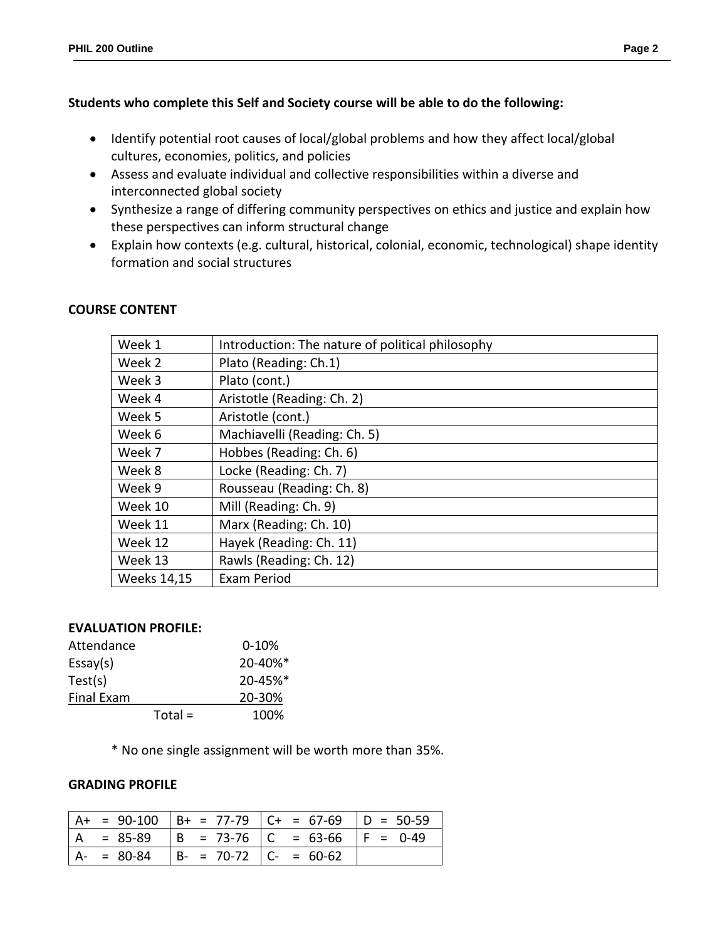### **Students who complete this Self and Society course will be able to do the following:**

- Identify potential root causes of local/global problems and how they affect local/global cultures, economies, politics, and policies
- Assess and evaluate individual and collective responsibilities within a diverse and interconnected global society
- Synthesize a range of differing community perspectives on ethics and justice and explain how these perspectives can inform structural change
- Explain how contexts (e.g. cultural, historical, colonial, economic, technological) shape identity formation and social structures

## **COURSE CONTENT**

| Week 1             | Introduction: The nature of political philosophy |
|--------------------|--------------------------------------------------|
| Week 2             | Plato (Reading: Ch.1)                            |
| Week 3             | Plato (cont.)                                    |
| Week 4             | Aristotle (Reading: Ch. 2)                       |
| Week 5             | Aristotle (cont.)                                |
| Week 6             | Machiavelli (Reading: Ch. 5)                     |
| Week 7             | Hobbes (Reading: Ch. 6)                          |
| Week 8             | Locke (Reading: Ch. 7)                           |
| Week 9             | Rousseau (Reading: Ch. 8)                        |
| Week 10            | Mill (Reading: Ch. 9)                            |
| Week 11            | Marx (Reading: Ch. 10)                           |
| Week 12            | Hayek (Reading: Ch. 11)                          |
| Week 13            | Rawls (Reading: Ch. 12)                          |
| <b>Weeks 14,15</b> | <b>Exam Period</b>                               |

#### **EVALUATION PROFILE:**

| Attendance        |           | $0 - 10%$ |
|-------------------|-----------|-----------|
| Essay(s)          |           | 20-40%*   |
| Test(s)           |           | 20-45%*   |
| <b>Final Exam</b> |           | 20-30%    |
|                   | $Total =$ | 100%      |

\* No one single assignment will be worth more than 35%.

### **GRADING PROFILE**

|               |                               | $A+ = 90-100$ $B+ = 77-79$ $C+ = 67-69$ $D = 50-59$ |             |
|---------------|-------------------------------|-----------------------------------------------------|-------------|
| $= 85 - 89$   | $ B = 73-76$   C = 63-66      |                                                     | $ F = 0.49$ |
| $A - = 80-84$ | $  B - = 70-72   C - = 60-62$ |                                                     |             |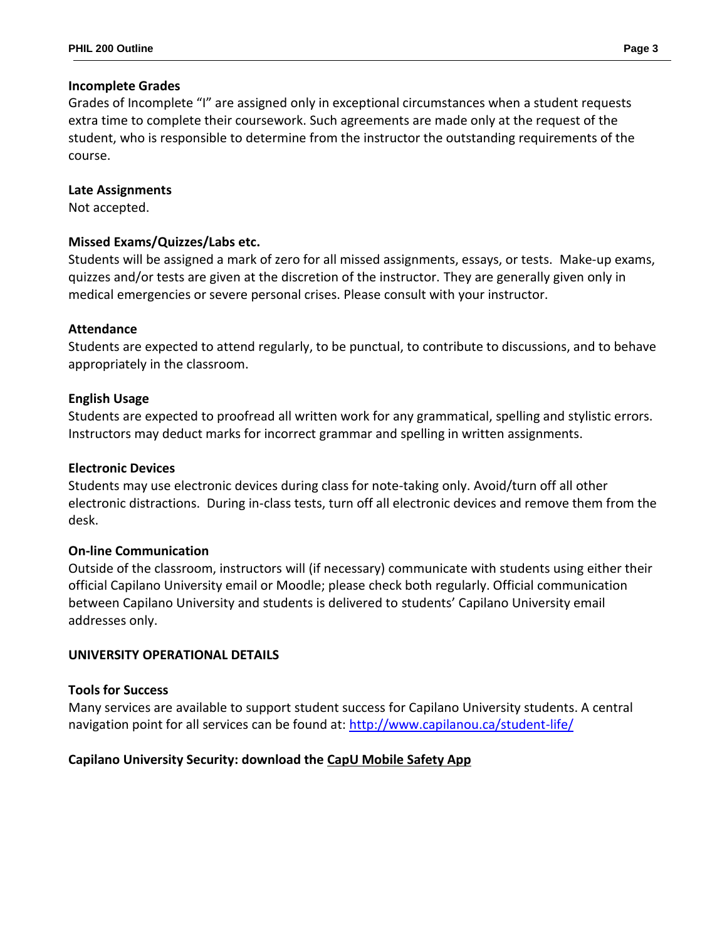## **Incomplete Grades**

Grades of Incomplete "I" are assigned only in exceptional circumstances when a student requests extra time to complete their coursework. Such agreements are made only at the request of the student, who is responsible to determine from the instructor the outstanding requirements of the course.

## **Late Assignments**

Not accepted.

# **Missed Exams/Quizzes/Labs etc.**

Students will be assigned a mark of zero for all missed assignments, essays, or tests. Make-up exams, quizzes and/or tests are given at the discretion of the instructor. They are generally given only in medical emergencies or severe personal crises. Please consult with your instructor.

# **Attendance**

Students are expected to attend regularly, to be punctual, to contribute to discussions, and to behave appropriately in the classroom.

# **English Usage**

Students are expected to proofread all written work for any grammatical, spelling and stylistic errors. Instructors may deduct marks for incorrect grammar and spelling in written assignments.

# **Electronic Devices**

Students may use electronic devices during class for note-taking only. Avoid/turn off all other electronic distractions. During in-class tests, turn off all electronic devices and remove them from the desk.

## **On-line Communication**

Outside of the classroom, instructors will (if necessary) communicate with students using either their official Capilano University email or Moodle; please check both regularly. Official communication between Capilano University and students is delivered to students' Capilano University email addresses only.

## **UNIVERSITY OPERATIONAL DETAILS**

## **Tools for Success**

Many services are available to support student success for Capilano University students. A central navigation point for all services can be found at:<http://www.capilanou.ca/student-life/>

# **Capilano University Security: download the [CapU Mobile Safety App](https://www.capilanou.ca/services/safety-security/CapU-Mobile-Safety-App/)**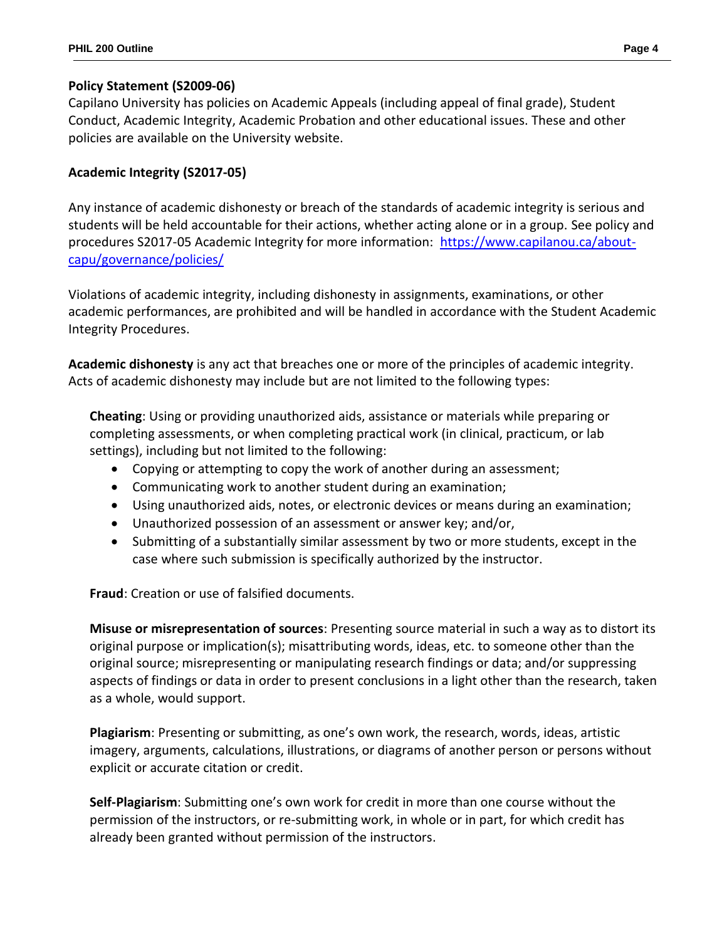# **Policy Statement (S2009-06)**

Capilano University has policies on Academic Appeals (including appeal of final grade), Student Conduct, Academic Integrity, Academic Probation and other educational issues. These and other policies are available on the University website.

# **Academic Integrity (S2017-05)**

Any instance of academic dishonesty or breach of the standards of academic integrity is serious and students will be held accountable for their actions, whether acting alone or in a group. See policy and procedures S2017-05 Academic Integrity for more information: [https://www.capilanou.ca/about](https://www.capilanou.ca/about-capu/governance/policies/)[capu/governance/policies/](https://www.capilanou.ca/about-capu/governance/policies/)

Violations of academic integrity, including dishonesty in assignments, examinations, or other academic performances, are prohibited and will be handled in accordance with the Student Academic Integrity Procedures.

**Academic dishonesty** is any act that breaches one or more of the principles of academic integrity. Acts of academic dishonesty may include but are not limited to the following types:

**Cheating**: Using or providing unauthorized aids, assistance or materials while preparing or completing assessments, or when completing practical work (in clinical, practicum, or lab settings), including but not limited to the following:

- Copying or attempting to copy the work of another during an assessment;
- Communicating work to another student during an examination;
- Using unauthorized aids, notes, or electronic devices or means during an examination;
- Unauthorized possession of an assessment or answer key; and/or,
- Submitting of a substantially similar assessment by two or more students, except in the case where such submission is specifically authorized by the instructor.

**Fraud**: Creation or use of falsified documents.

**Misuse or misrepresentation of sources**: Presenting source material in such a way as to distort its original purpose or implication(s); misattributing words, ideas, etc. to someone other than the original source; misrepresenting or manipulating research findings or data; and/or suppressing aspects of findings or data in order to present conclusions in a light other than the research, taken as a whole, would support.

**Plagiarism**: Presenting or submitting, as one's own work, the research, words, ideas, artistic imagery, arguments, calculations, illustrations, or diagrams of another person or persons without explicit or accurate citation or credit.

**Self-Plagiarism**: Submitting one's own work for credit in more than one course without the permission of the instructors, or re-submitting work, in whole or in part, for which credit has already been granted without permission of the instructors.